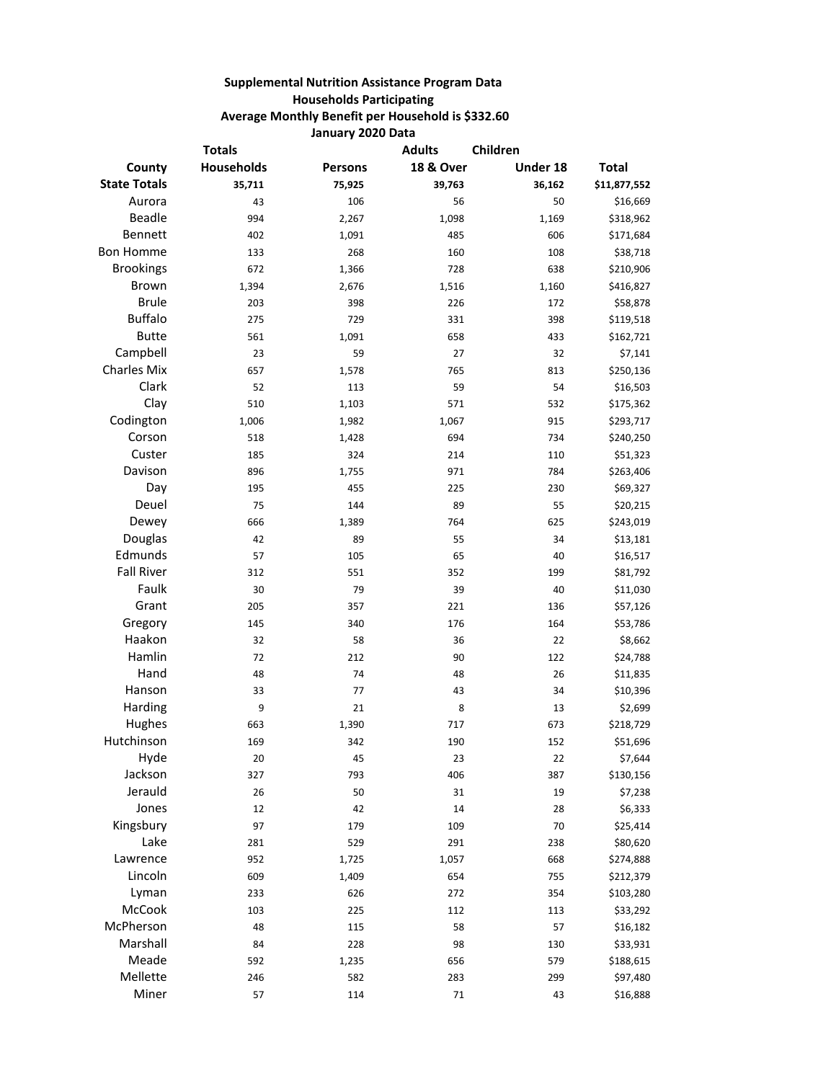## **Supplemental Nutrition Assistance Program Data Households Participating Average Monthly Benefit per Household is \$332.60 January 2020 Data**

| <b>Totals</b>       |            |         | <b>Adults</b>        | Children |              |
|---------------------|------------|---------|----------------------|----------|--------------|
| County              | Households | Persons | <b>18 &amp; Over</b> | Under 18 | <b>Total</b> |
| <b>State Totals</b> | 35,711     | 75,925  | 39,763               | 36,162   | \$11,877,552 |
| Aurora              | 43         | 106     | 56                   | 50       | \$16,669     |
| Beadle              | 994        | 2,267   | 1,098                | 1,169    | \$318,962    |
| Bennett             | 402        | 1,091   | 485                  | 606      | \$171,684    |
| <b>Bon Homme</b>    | 133        | 268     | 160                  | 108      | \$38,718     |
| <b>Brookings</b>    | 672        | 1,366   | 728                  | 638      | \$210,906    |
| Brown               | 1,394      | 2,676   | 1,516                | 1,160    | \$416,827    |
| <b>Brule</b>        | 203        | 398     | 226                  | 172      | \$58,878     |
| <b>Buffalo</b>      | 275        | 729     | 331                  | 398      | \$119,518    |
| <b>Butte</b>        | 561        | 1,091   | 658                  | 433      | \$162,721    |
| Campbell            | 23         | 59      | 27                   | 32       | \$7,141      |
| <b>Charles Mix</b>  | 657        | 1,578   | 765                  | 813      | \$250,136    |
| Clark               | 52         | 113     | 59                   | 54       | \$16,503     |
| Clay                | 510        | 1,103   | 571                  | 532      | \$175,362    |
| Codington           | 1,006      | 1,982   | 1,067                | 915      | \$293,717    |
| Corson              | 518        | 1,428   | 694                  | 734      | \$240,250    |
| Custer              | 185        | 324     | 214                  | 110      | \$51,323     |
| Davison             | 896        | 1,755   | 971                  | 784      | \$263,406    |
| Day                 | 195        | 455     | 225                  | 230      | \$69,327     |
| Deuel               | 75         | 144     | 89                   | 55       | \$20,215     |
| Dewey               | 666        | 1,389   | 764                  | 625      | \$243,019    |
| Douglas             | 42         | 89      | 55                   | 34       | \$13,181     |
| Edmunds             | 57         | 105     | 65                   | 40       | \$16,517     |
| <b>Fall River</b>   | 312        | 551     | 352                  | 199      | \$81,792     |
| Faulk               | 30         | 79      | 39                   | 40       | \$11,030     |
| Grant               | 205        | 357     | 221                  | 136      | \$57,126     |
| Gregory             | 145        | 340     | 176                  | 164      | \$53,786     |
| Haakon              | 32         | 58      | 36                   | 22       | \$8,662      |
| Hamlin              | 72         | 212     | 90                   | 122      | \$24,788     |
| Hand                | 48         | 74      | 48                   | 26       | \$11,835     |
| Hanson              | 33         | 77      | 43                   | 34       | \$10,396     |
| Harding             | 9          | 21      | 8                    | 13       | \$2,699      |
| Hughes              | 663        | 1,390   | 717                  | 673      | \$218,729    |
| Hutchinson          | 169        | 342     | 190                  | 152      | \$51,696     |
| Hyde                | 20         | 45      | 23                   | 22       | \$7,644      |
| Jackson             | 327        | 793     | 406                  | 387      | \$130,156    |
| Jerauld             | 26         | 50      | 31                   | 19       | \$7,238      |
| Jones               | 12         | 42      | 14                   | 28       | \$6,333      |
| Kingsbury           | 97         | 179     | 109                  | 70       | \$25,414     |
| Lake                | 281        | 529     | 291                  | 238      | \$80,620     |
| Lawrence            | 952        | 1,725   | 1,057                | 668      | \$274,888    |
| Lincoln             | 609        | 1,409   | 654                  | 755      | \$212,379    |
| Lyman               | 233        | 626     | 272                  | 354      | \$103,280    |
| McCook              | 103        | 225     | 112                  | 113      | \$33,292     |
| McPherson           | 48         | 115     | 58                   | 57       | \$16,182     |
| Marshall            | 84         | 228     | 98                   | 130      | \$33,931     |
| Meade               | 592        | 1,235   | 656                  | 579      | \$188,615    |
| Mellette            | 246        | 582     | 283                  | 299      | \$97,480     |
| Miner               | 57         | 114     | 71                   | 43       | \$16,888     |